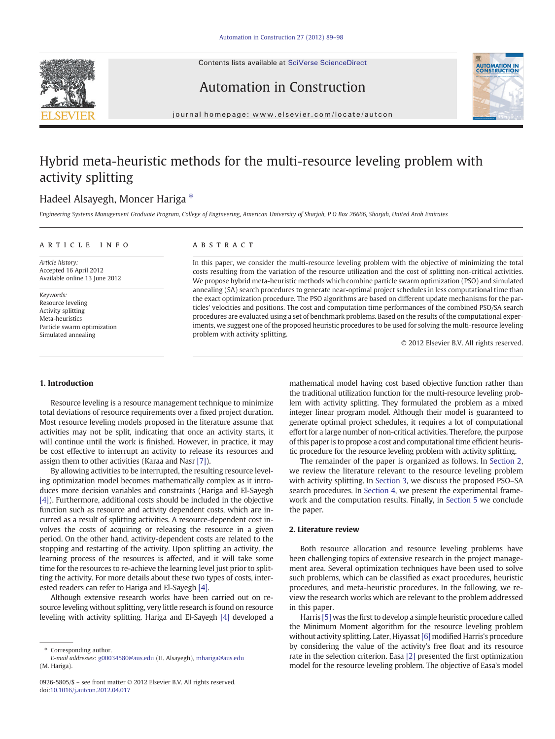Contents lists available at SciVerse ScienceDirect





Automation in Construction

journal homepage: www.elsevier.com/locate/autcon

## Hybrid meta-heuristic methods for the multi-resource leveling problem with activity splitting

### Hadeel Alsayegh, Moncer Hariga  $*$

Engineering Systems Management Graduate Program, College of Engineering, American University of Sharjah, P O Box 26666, Sharjah, United Arab Emirates

### ARTICLE INFO ABSTRACT

Article history: Accepted 16 April 2012 Available online 13 June 2012

Keywords: Resource leveling Activity splitting Meta-heuristics Particle swarm optimization Simulated annealing

In this paper, we consider the multi-resource leveling problem with the objective of minimizing the total costs resulting from the variation of the resource utilization and the cost of splitting non-critical activities. We propose hybrid meta-heuristic methods which combine particle swarm optimization (PSO) and simulated annealing (SA) search procedures to generate near-optimal project schedules in less computational time than the exact optimization procedure. The PSO algorithms are based on different update mechanisms for the particles' velocities and positions. The cost and computation time performances of the combined PSO/SA search procedures are evaluated using a set of benchmark problems. Based on the results of the computational experiments, we suggest one of the proposed heuristic procedures to be used for solving the multi-resource leveling problem with activity splitting.

© 2012 Elsevier B.V. All rights reserved.

#### 1. Introduction

Resource leveling is a resource management technique to minimize total deviations of resource requirements over a fixed project duration. Most resource leveling models proposed in the literature assume that activities may not be split, indicating that once an activity starts, it will continue until the work is finished. However, in practice, it may be cost effective to interrupt an activity to release its resources and assign them to other activities (Karaa and Nasr [\[7\]](#page--1-0)).

By allowing activities to be interrupted, the resulting resource leveling optimization model becomes mathematically complex as it introduces more decision variables and constraints (Hariga and El-Sayegh [\[4\]](#page--1-0)). Furthermore, additional costs should be included in the objective function such as resource and activity dependent costs, which are incurred as a result of splitting activities. A resource-dependent cost involves the costs of acquiring or releasing the resource in a given period. On the other hand, activity-dependent costs are related to the stopping and restarting of the activity. Upon splitting an activity, the learning process of the resources is affected, and it will take some time for the resources to re-achieve the learning level just prior to splitting the activity. For more details about these two types of costs, interested readers can refer to Hariga and El-Sayegh [\[4\].](#page--1-0)

Although extensive research works have been carried out on resource leveling without splitting, very little research is found on resource leveling with activity splitting. Hariga and El-Sayegh [\[4\]](#page--1-0) developed a

Corresponding author.

mathematical model having cost based objective function rather than the traditional utilization function for the multi-resource leveling problem with activity splitting. They formulated the problem as a mixed integer linear program model. Although their model is guaranteed to generate optimal project schedules, it requires a lot of computational effort for a large number of non-critical activities. Therefore, the purpose of this paper is to propose a cost and computational time efficient heuristic procedure for the resource leveling problem with activity splitting.

The remainder of the paper is organized as follows. In Section 2, we review the literature relevant to the resource leveling problem with activity splitting. In [Section 3,](#page-1-0) we discuss the proposed PSO–SA search procedures. In [Section 4](#page--1-0), we present the experimental framework and the computation results. Finally, in [Section 5](#page--1-0) we conclude the paper.

#### 2. Literature review

Both resource allocation and resource leveling problems have been challenging topics of extensive research in the project management area. Several optimization techniques have been used to solve such problems, which can be classified as exact procedures, heuristic procedures, and meta-heuristic procedures. In the following, we review the research works which are relevant to the problem addressed in this paper.

Harris [\[5\]](#page--1-0) was the first to develop a simple heuristic procedure called the Minimum Moment algorithm for the resource leveling problem without activity splitting. Later, Hiyassat [\[6\]](#page--1-0) modified Harris's procedure by considering the value of the activity's free float and its resource rate in the selection criterion. Easa [\[2\]](#page--1-0) presented the first optimization model for the resource leveling problem. The objective of Easa's model

E-mail addresses: [g00034580@aus.edu](mailto:g00034580@aus.edu) (H. Alsayegh), [mhariga@aus.edu](mailto:mhariga@aus.edu) (M. Hariga).

<sup>0926-5805/\$</sup> – see front matter © 2012 Elsevier B.V. All rights reserved. doi:[10.1016/j.autcon.2012.04.017](http://dx.doi.org/10.1016/j.autcon.2012.04.017)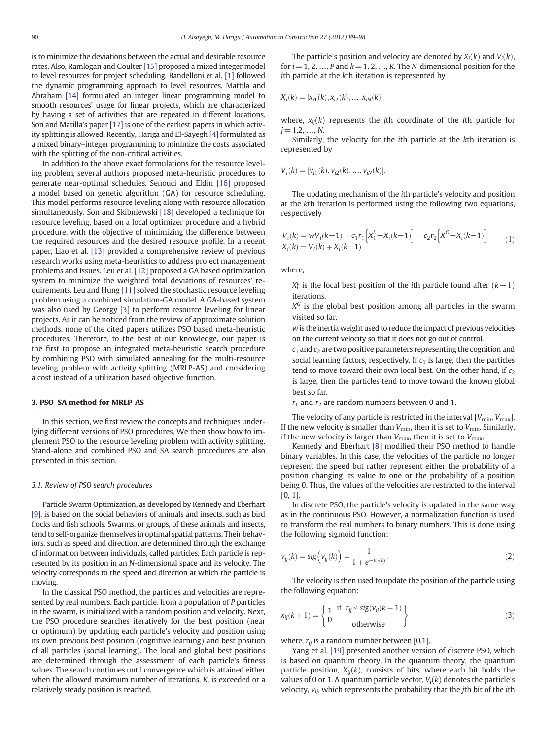<span id="page-1-0"></span>is to minimize the deviations between the actual and desirable resource rates. Also, Ramlogan and Goulter [\[15\]](#page--1-0) proposed a mixed integer model to level resources for project scheduling. Bandelloni et al. [\[1\]](#page--1-0) followed the dynamic programming approach to level resources. Mattila and Abraham [\[14\]](#page--1-0) formulated an integer linear programming model to smooth resources' usage for linear projects, which are characterized by having a set of activities that are repeated in different locations. Son and Matilla's paper [\[17\]](#page--1-0) is one of the earliest papers in which activity splitting is allowed. Recently, Hariga and El-Sayegh [\[4\]](#page--1-0) formulated as a mixed binary–integer programming to minimize the costs associated with the splitting of the non-critical activities.

In addition to the above exact formulations for the resource leveling problem, several authors proposed meta-heuristic procedures to generate near-optimal schedules. Senouci and Eldin [\[16\]](#page--1-0) proposed a model based on genetic algorithm (GA) for resource scheduling. This model performs resource leveling along with resource allocation simultaneously. Son and Skibniewski [\[18\]](#page--1-0) developed a technique for resource leveling, based on a local optimizer procedure and a hybrid procedure, with the objective of minimizing the difference between the required resources and the desired resource profile. In a recent paper, Liao et al. [\[13\]](#page--1-0) provided a comprehensive review of previous research works using meta-heuristics to address project management problems and issues. Leu et al. [\[12\]](#page--1-0) proposed a GA based optimization system to minimize the weighted total deviations of resources' requirements. Leu and Hung [\[11\]](#page--1-0) solved the stochastic resource leveling problem using a combined simulation-GA model. A GA-based system was also used by Georgy [\[3\]](#page--1-0) to perform resource leveling for linear projects. As it can be noticed from the review of approximate solution methods, none of the cited papers utilizes PSO based meta-heuristic procedures. Therefore, to the best of our knowledge, our paper is the first to propose an integrated meta-heuristic search procedure by combining PSO with simulated annealing for the multi-resource leveling problem with activity splitting (MRLP-AS) and considering a cost instead of a utilization based objective function.

#### 3. PSO–SA method for MRLP-AS

In this section, we first review the concepts and techniques underlying different versions of PSO procedures. We then show how to implement PSO to the resource leveling problem with activity splitting. Stand-alone and combined PSO and SA search procedures are also presented in this section.

#### 3.1. Review of PSO search procedures

Particle Swarm Optimization, as developed by Kennedy and Eberhart [\[9\]](#page--1-0), is based on the social behaviors of animals and insects, such as bird flocks and fish schools. Swarms, or groups, of these animals and insects, tend to self-organize themselves in optimal spatial patterns. Their behaviors, such as speed and direction, are determined through the exchange of information between individuals, called particles. Each particle is represented by its position in an N-dimensional space and its velocity. The velocity corresponds to the speed and direction at which the particle is moving.

In the classical PSO method, the particles and velocities are represented by real numbers. Each particle, from a population of P particles in the swarm, is initialized with a random position and velocity. Next, the PSO procedure searches iteratively for the best position (near or optimum) by updating each particle's velocity and position using its own previous best position (cognitive learning) and best position of all particles (social learning). The local and global best positions are determined through the assessment of each particle's fitness values. The search continues until convergence which is attained either when the allowed maximum number of iterations, K, is exceeded or a relatively steady position is reached.

The particle's position and velocity are denoted by  $X_i(k)$  and  $V_i(k)$ , for  $i = 1, 2, ..., P$  and  $k = 1, 2, ..., K$ . The N-dimensional position for the ith particle at the kth iteration is represented by

$$
X_i(k) = [x_{i1}(k), x_{i2}(k), ..., x_{iN}(k)]
$$

where,  $x_{ii}(k)$  represents the jth coordinate of the ith particle for  $i = 1.2, ..., N$ .

Similarly, the velocity for the ith particle at the kth iteration is represented by

$$
V_i(k) = [v_{i1}(k), v_{i2}(k), ..., v_{iN}(k)].
$$

The updating mechanism of the ith particle's velocity and position at the kth iteration is performed using the following two equations, respectively

$$
V_i(k) = wV_i(k-1) + c_1r_1 \left[ X_1^L - X_i(k-1) \right] + c_2r_2 \left[ X^C - X_i(k-1) \right]
$$
  
\n
$$
X_i(k) = V_i(k) + X_i(k-1)
$$
 (1)

where,

 $X_i^L$  is the local best position of the *i*th particle found after  $(k-1)$ iterations.

 $X^G$  is the global best position among all particles in the swarm visited so far.

w is the inertia weight used to reduce the impact of previous velocities on the current velocity so that it does not go out of control.

 $c_1$  and  $c_2$  are two positive parameters representing the cognition and social learning factors, respectively. If  $c_1$  is large, then the particles tend to move toward their own local best. On the other hand, if  $c_2$ is large, then the particles tend to move toward the known global best so far.

 $r_1$  and  $r_2$  are random numbers between 0 and 1.

The velocity of any particle is restricted in the interval  $[V_{\text{min}}, V_{\text{max}}]$ . If the new velocity is smaller than  $V_{\text{min}}$ , then it is set to  $V_{\text{min}}$ . Similarly, if the new velocity is larger than  $V_{\text{max}}$ , then it is set to  $V_{\text{max}}$ .

Kennedy and Eberhart [\[8\]](#page--1-0) modified their PSO method to handle binary variables. In this case, the velocities of the particle no longer represent the speed but rather represent either the probability of a position changing its value to one or the probability of a position being 0. Thus, the values of the velocities are restricted to the interval [0, 1].

In discrete PSO, the particle's velocity is updated in the same way as in the continuous PSO. However, a normalization function is used to transform the real numbers to binary numbers. This is done using the following sigmoid function:

$$
v_{ij}(k) = sig\left(v_{ij}(k)\right) = \frac{1}{1 + e^{-v_{ij}(k)}}.
$$
\n(2)

The velocity is then used to update the position of the particle using the following equation:

$$
x_{ij}(k+1) = \begin{cases} 1 & \text{if } r_{ij} < sig(v_{ij}(k+1)) \\ 0 & \text{otherwise} \end{cases}
$$
\n<sup>(3)</sup>

where,  $r_{ii}$  is a random number between [0,1].

Yang et al. [\[19\]](#page--1-0) presented another version of discrete PSO, which is based on quantum theory. In the quantum theory, the quantum particle position,  $X_{ii}(k)$ , consists of bits, where each bit holds the values of 0 or 1. A quantum particle vector,  $V_i(k)$  denotes the particle's velocity,  $v_{ii}$ , which represents the probability that the *j*th bit of the *i*th